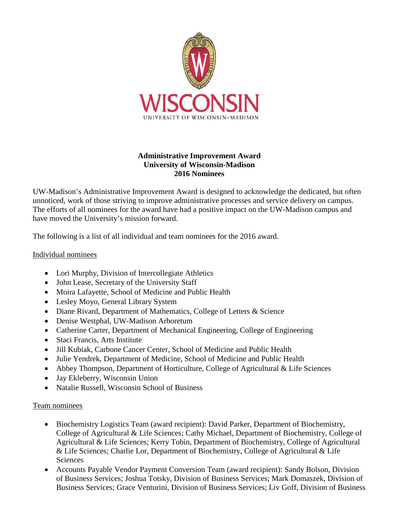

## **Administrative Improvement Award University of Wisconsin-Madison 2016 Nominees**

UW-Madison's Administrative Improvement Award is designed to acknowledge the dedicated, but often unnoticed, work of those striving to improve administrative processes and service delivery on campus. The efforts of all nominees for the award have had a positive impact on the UW-Madison campus and have moved the University's mission forward.

The following is a list of all individual and team nominees for the 2016 award.

## Individual nominees

- Lori Murphy, Division of Intercollegiate Athletics
- John Lease, Secretary of the University Staff
- Moira Lafayette, School of Medicine and Public Health
- Lesley Moyo, General Library System
- Diane Rivard, Department of Mathematics, College of Letters & Science
- Denise Westphal, UW-Madison Arboretum
- Catherine Carter, Department of Mechanical Engineering, College of Engineering
- Staci Francis, Arts Institute
- Jill Kubiak, Carbone Cancer Center, School of Medicine and Public Health
- Julie Yendrek, Department of Medicine, School of Medicine and Public Health
- Abbey Thompson, Department of Horticulture, College of Agricultural & Life Sciences
- Jay Ekleberry, Wisconsin Union
- Natalie Russell, Wisconsin School of Business

## Team nominees

- Biochemistry Logistics Team (award recipient): David Parker, Department of Biochemistry, College of Agricultural & Life Sciences; Cathy Michael, Department of Biochemistry, College of Agricultural & Life Sciences; Kerry Tobin, Department of Biochemistry, College of Agricultural & Life Sciences; Charlie Lor, Department of Biochemistry, College of Agricultural & Life Sciences
- Accounts Payable Vendor Payment Conversion Team (award recipient): Sandy Bolson, Division of Business Services; Joshua Totsky, Division of Business Services; Mark Domaszek, Division of Business Services; Grace Venturini, Division of Business Services; Liv Goff, Division of Business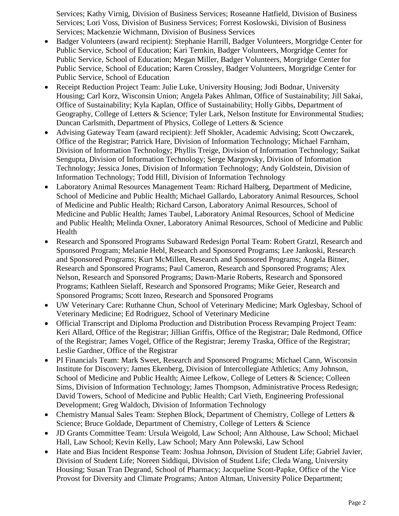Services; Kathy Virnig, Division of Business Services; Roseanne Hatfield, Division of Business Services; Lori Voss, Division of Business Services; Forrest Koslowski, Division of Business Services; Mackenzie Wichmann, Division of Business Services

- Badger Volunteers (award recipient): Stephanie Harrill, Badger Volunteers, Morgridge Center for Public Service, School of Education; Kari Temkin, Badger Volunteers, Morgridge Center for Public Service, School of Education; Megan Miller, Badger Volunteers, Morgridge Center for Public Service, School of Education; Karen Crossley, Badger Volunteers, Morgridge Center for Public Service, School of Education
- Receipt Reduction Project Team: Julie Luke, University Housing; Jodi Bodnar, University Housing; Carl Korz, Wisconsin Union; Angela Pakes Ahlman, Office of Sustainability; Jill Sakai, Office of Sustainability; Kyla Kaplan, Office of Sustainability; Holly Gibbs, Department of Geography, College of Letters & Science; Tyler Lark, Nelson Institute for Environmental Studies; Duncan Carlsmith, Department of Physics, College of Letters & Science
- Advising Gateway Team (award recipient): Jeff Shokler, Academic Advising; Scott Owczarek, Office of the Registrar; Patrick Hare, Division of Information Technology; Michael Farnham, Division of Information Technology; Phyllis Treige, Division of Information Technology; Saikat Sengupta, Division of Information Technology; Serge Margovsky, Division of Information Technology; Jessica Jones, Division of Information Technology; Andy Goldstein, Division of Information Technology; Todd Hill, Division of Information Technology
- Laboratory Animal Resources Management Team: Richard Halberg, Department of Medicine, School of Medicine and Public Health; Michael Gallardo, Laboratory Animal Resources, School of Medicine and Public Health; Richard Carson, Laboratory Animal Resources, School of Medicine and Public Health; James Taubel, Laboratory Animal Resources, School of Medicine and Public Health; Melinda Oxner, Laboratory Animal Resources, School of Medicine and Public Health
- Research and Sponsored Programs Subaward Redesign Portal Team: Robert Gratzl, Research and Sponsored Program; Melanie Hebl, Research and Sponsored Programs; Lee Jankoski, Research and Sponsored Programs; Kurt McMillen, Research and Sponsored Programs; Angela Bitner, Research and Sponsored Programs; Paul Cameron, Research and Sponsored Programs; Alex Nelson, Research and Sponsored Programs; Dawn-Marie Roberts, Research and Sponsored Programs; Kathleen Sielaff, Research and Sponsored Programs; Mike Geier, Research and Sponsored Programs; Scott Inzeo, Research and Sponsored Programs
- UW Veterinary Care: Ruthanne Chun, School of Veterinary Medicine; Mark Oglesbay, School of Veterinary Medicine; Ed Rodriguez, School of Veterinary Medicine
- Official Transcript and Diploma Production and Distribution Process Revamping Project Team: Keri Allard, Office of the Registrar; Jillian Griffis, Office of the Registrar; Dale Redmond, Office of the Registrar; James Vogel, Office of the Registrar; Jeremy Traska, Office of the Registrar; Leslie Gardner, Office of the Registrar
- PI Financials Team: Mark Sweet, Research and Sponsored Programs; Michael Cann, Wisconsin Institute for Discovery; James Ekenberg, Division of Intercollegiate Athletics; Amy Johnson, School of Medicine and Public Health; Aimee Lefkow, College of Letters & Science; Colleen Sims, Division of Information Technology; James Thompson, Administrative Process Redesign; David Towers, School of Medicine and Public Health; Carl Vieth, Engineering Professional Development; Greg Waldoch, Division of Information Technology
- Chemistry Manual Sales Team: Stephen Block, Department of Chemistry, College of Letters & Science; Bruce Goldade, Department of Chemistry, College of Letters & Science
- JD Grants Committee Team: Ursula Weigold, Law School; Ann Althouse, Law School; Michael Hall, Law School; Kevin Kelly, Law School; Mary Ann Polewski, Law School
- Hate and Bias Incident Response Team: Joshua Johnson, Division of Student Life; Gabriel Javier, Division of Student Life; Noreen Siddiqui, Division of Student Life; Cleda Wang, University Housing; Susan Tran Degrand, School of Pharmacy; Jacqueline Scott-Papke, Office of the Vice Provost for Diversity and Climate Programs; Anton Altman, University Police Department;